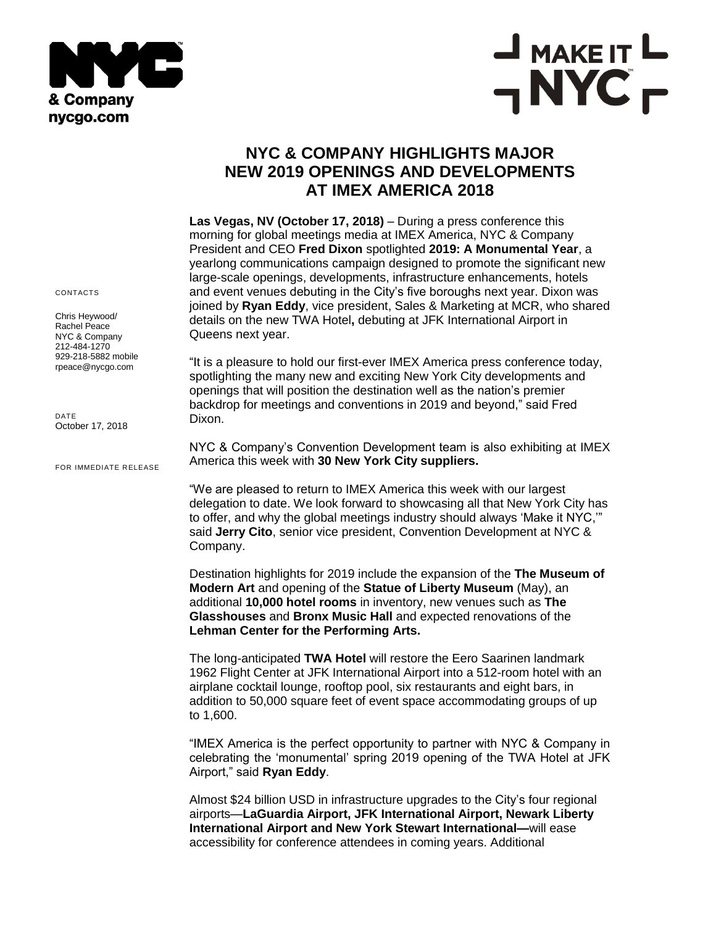



## **NYC & COMPANY HIGHLIGHTS MAJOR NEW 2019 OPENINGS AND DEVELOPMENTS AT IMEX AMERICA 2018**

**Las Vegas, NV (October 17, 2018)** – During a press conference this morning for global meetings media at IMEX America, NYC & Company President and CEO **Fred Dixon** spotlighted **2019: A Monumental Year**, a yearlong communications campaign designed to promote the significant new large-scale openings, developments, infrastructure enhancements, hotels and event venues debuting in the City's five boroughs next year. Dixon was joined by **Ryan Eddy**, vice president, Sales & Marketing at MCR, who shared details on the new TWA Hotel**,** debuting at JFK International Airport in Queens next year.

"It is a pleasure to hold our first-ever IMEX America press conference today, spotlighting the many new and exciting New York City developments and openings that will position the destination well as the nation's premier backdrop for meetings and conventions in 2019 and beyond," said Fred Dixon.

NYC & Company's Convention Development team is also exhibiting at IMEX America this week with **30 New York City suppliers.**

"We are pleased to return to IMEX America this week with our largest delegation to date. We look forward to showcasing all that New York City has to offer, and why the global meetings industry should always 'Make it NYC,'" said **Jerry Cito**, senior vice president, Convention Development at NYC & Company.

Destination highlights for 2019 include the expansion of the **The Museum of Modern Art** and opening of the **Statue of Liberty Museum** (May), an additional **10,000 hotel rooms** in inventory, new venues such as **The Glasshouses** and **Bronx Music Hall** and expected renovations of the **Lehman Center for the Performing Arts.**

The long-anticipated **TWA Hotel** will restore the Eero Saarinen landmark 1962 Flight Center at JFK International Airport into a 512-room hotel with an airplane cocktail lounge, rooftop pool, six restaurants and eight bars, in addition to 50,000 square feet of event space accommodating groups of up to 1,600.

"IMEX America is the perfect opportunity to partner with NYC & Company in celebrating the 'monumental' spring 2019 opening of the TWA Hotel at JFK Airport," said **Ryan Eddy**.

Almost \$24 billion USD in infrastructure upgrades to the City's four regional airports—**LaGuardia Airport, JFK International Airport, Newark Liberty International Airport and New York Stewart International—**will ease accessibility for conference attendees in coming years. Additional

CONTACTS

Chris Heywood/ Rachel Peace NYC & Company 212-484-1270 929-218-5882 mobile rpeace@nycgo.com

DATE October 17, 2018

FOR IMMEDIATE RELEASE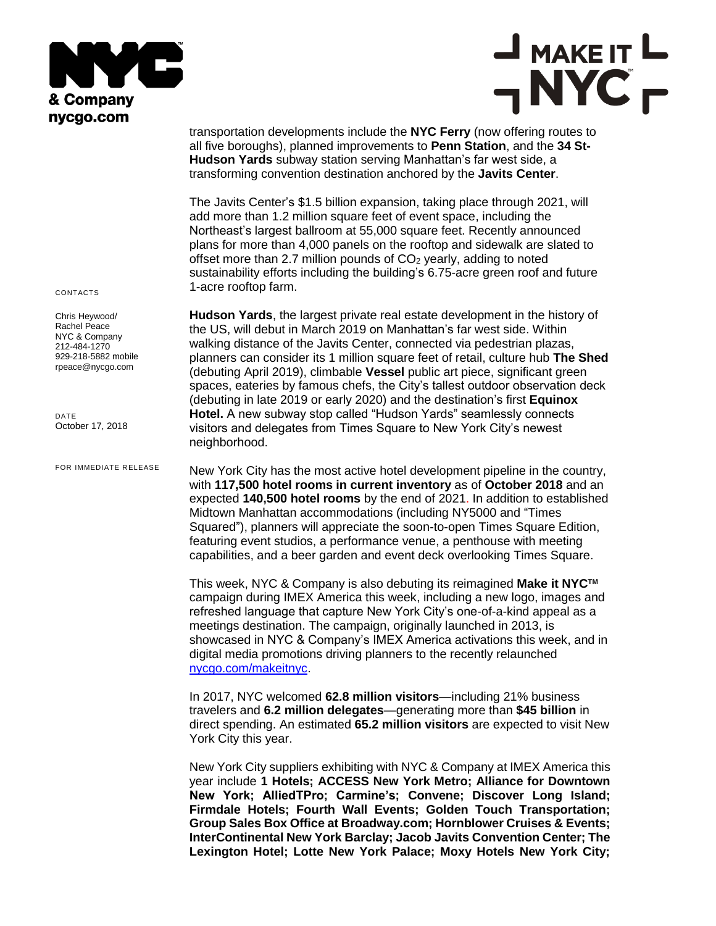



transportation developments include the **NYC Ferry** (now offering routes to all five boroughs), planned improvements to **Penn Station**, and the **34 St-Hudson Yards** subway station serving Manhattan's far west side, a transforming convention destination anchored by the **Javits Center**.

The Javits Center's \$1.5 billion expansion, taking place through 2021, will add more than 1.2 million square feet of event space, including the Northeast's largest ballroom at 55,000 square feet. Recently announced plans for more than 4,000 panels on the rooftop and sidewalk are slated to offset more than 2.7 million pounds of  $CO<sub>2</sub>$  yearly, adding to noted sustainability efforts including the building's 6.75-acre green roof and future 1-acre rooftop farm.

**Hudson Yards**, the largest private real estate development in the history of the US, will debut in March 2019 on Manhattan's far west side. Within walking distance of the Javits Center, connected via pedestrian plazas, planners can consider its 1 million square feet of retail, culture hub **The Shed** (debuting April 2019), climbable **Vessel** public art piece, significant green spaces, eateries by famous chefs, the City's tallest outdoor observation deck (debuting in late 2019 or early 2020) and the destination's first **Equinox Hotel.** A new subway stop called "Hudson Yards" seamlessly connects visitors and delegates from Times Square to New York City's newest neighborhood.

New York City has the most active hotel development pipeline in the country, with **117,500 hotel rooms in current inventory** as of **October 2018** and an expected **140,500 hotel rooms** by the end of 2021. In addition to established Midtown Manhattan accommodations (including NY5000 and "Times Squared"), planners will appreciate the soon-to-open Times Square Edition, featuring event studios, a performance venue, a penthouse with meeting capabilities, and a beer garden and event deck overlooking Times Square.

This week, NYC & Company is also debuting its reimagined **Make it NYCTM** campaign during IMEX America this week, including a new logo, images and refreshed language that capture New York City's one-of-a-kind appeal as a meetings destination. The campaign, originally launched in 2013, is showcased in NYC & Company's IMEX America activations this week, and in digital media promotions driving planners to the recently relaunched [nycgo.com/makeitnyc.](http://www.nycgo.com/makeitnyc)

In 2017, NYC welcomed **62.8 million visitors**—including 21% business travelers and **6.2 million delegates**—generating more than **\$45 billion** in direct spending. An estimated **65.2 million visitors** are expected to visit New York City this year.

New York City suppliers exhibiting with NYC & Company at IMEX America this year include **1 Hotels; ACCESS New York Metro; Alliance for Downtown New York; AlliedTPro; Carmine's; Convene; Discover Long Island; Firmdale Hotels; Fourth Wall Events; Golden Touch Transportation; Group Sales Box Office at Broadway.com; Hornblower Cruises & Events; InterContinental New York Barclay; Jacob Javits Convention Center; The Lexington Hotel; Lotte New York Palace; Moxy Hotels New York City;** 

CONTACTS

Chris Heywood/ Rachel Peace NYC & Company 212-484-1270 929-218-5882 mobile rpeace@nycgo.com

DATE October 17, 2018

FOR IMMEDIATE RELEASE